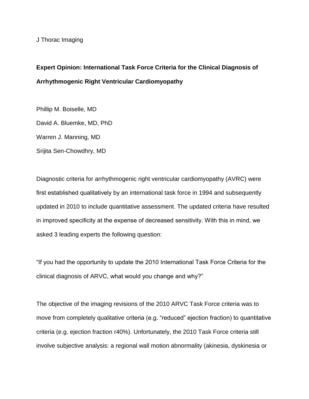J Thorac Imaging

## **Expert Opinion: International Task Force Criteria for the Clinical Diagnosis of Arrhythmogenic Right Ventricular Cardiomyopathy**

Phillip M. Boiselle, MD David A. Bluemke, MD, PhD Warren J. Manning, MD Srijita Sen-Chowdhry, MD

Diagnostic criteria for arrhythmogenic right ventricular cardiomyopathy (AVRC) were first established qualitatively by an international task force in 1994 and subsequently updated in 2010 to include quantitative assessment. The updated criteria have resulted in improved specificity at the expense of decreased sensitivity. With this in mind, we asked 3 leading experts the following question:

"If you had the opportunity to update the 2010 International Task Force Criteria for the clinical diagnosis of ARVC, what would you change and why?"

The objective of the imaging revisions of the 2010 ARVC Task Force criteria was to move from completely qualitative criteria (e.g. "reduced" ejection fraction) to quantitative criteria (e.g. ejection fraction r40%). Unfortunately, the 2010 Task Force criteria still involve subjective analysis: a regional wall motion abnormality (akinesia, dyskinesia or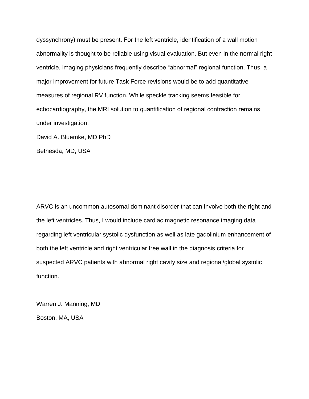dyssynchrony) must be present. For the left ventricle, identification of a wall motion abnormality is thought to be reliable using visual evaluation. But even in the normal right ventricle, imaging physicians frequently describe "abnormal" regional function. Thus, a major improvement for future Task Force revisions would be to add quantitative measures of regional RV function. While speckle tracking seems feasible for echocardiography, the MRI solution to quantification of regional contraction remains under investigation.

David A. Bluemke, MD PhD

Bethesda, MD, USA

ARVC is an uncommon autosomal dominant disorder that can involve both the right and the left ventricles. Thus, I would include cardiac magnetic resonance imaging data regarding left ventricular systolic dysfunction as well as late gadolinium enhancement of both the left ventricle and right ventricular free wall in the diagnosis criteria for suspected ARVC patients with abnormal right cavity size and regional/global systolic function.

Warren J. Manning, MD

Boston, MA, USA